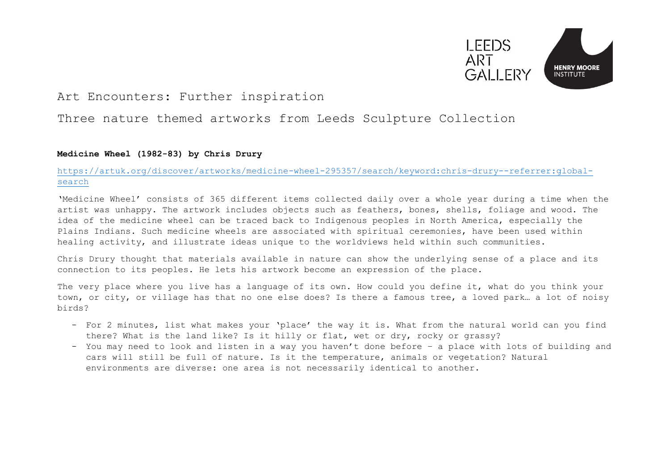

# Art Encounters: Further inspiration

# Three nature themed artworks from Leeds Sculpture Collection

### **Medicine Wheel (1982-83) by Chris Drury**

## [https://artuk.org/discover/artworks/medicine-wheel-295357/search/keyword:chris-drury--referrer:global](https://artuk.org/discover/artworks/medicine-wheel-295357/search/keyword:chris-drury--referrer:global-search)[search](https://artuk.org/discover/artworks/medicine-wheel-295357/search/keyword:chris-drury--referrer:global-search)

'Medicine Wheel' consists of 365 different items collected daily over a whole year during a time when the artist was unhappy. The artwork includes objects such as feathers, bones, shells, foliage and wood. The idea of the medicine wheel can be traced back to Indigenous peoples in North America, especially the Plains Indians. Such medicine wheels are associated with spiritual ceremonies, have been used within healing activity, and illustrate ideas unique to the worldviews held within such communities.

Chris Drury thought that materials available in nature can show the underlying sense of a place and its connection to its peoples. He lets his artwork become an expression of the place.

The very place where you live has a language of its own. How could you define it, what do you think your town, or city, or village has that no one else does? Is there a famous tree, a loved park… a lot of noisy birds?

- For 2 minutes, list what makes your 'place' the way it is. What from the natural world can you find there? What is the land like? Is it hilly or flat, wet or dry, rocky or grassy?
- You may need to look and listen in a way you haven't done before a place with lots of building and cars will still be full of nature. Is it the temperature, animals or vegetation? Natural environments are diverse: one area is not necessarily identical to another.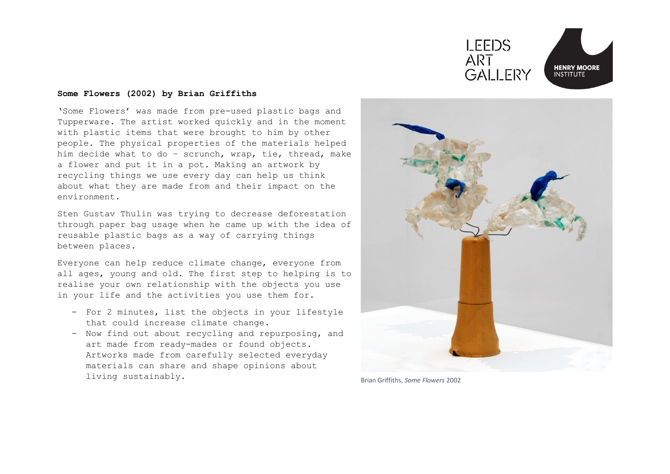

#### l, **Some Flowers (2002) by Brian Griffiths**

'Some Flowers' was made from pre-used plastic bags and Tupperware. The artist worked quickly and in the moment with plastic items that were brought to him by other people. The physical properties of the materials helped him decide what to do – scrunch, wrap, tie, thread, make a flower and put it in a pot. Making an artwork by recycling things we use every day can help us think about what they are made from and their impact on the environment.

Sten Gustav Thulin was trying to decrease deforestation through paper bag usage when he came up with the idea of reusable plastic bags as a way of carrying things between places.

Everyone can help reduce climate change, everyone from all ages, young and old. The first step to helping is to realise your own relationship with the objects you use in your life and the activities you use them for.

- For 2 minutes, list the objects in your lifestyle that could increase climate change.
- Now find out about recycling and repurposing, and art made from ready-mades or found objects. Artworks made from carefully selected everyday materials can share and shape opinions about living sustainably. Brian Griffiths, *Some Flowers* <sup>2002</sup>